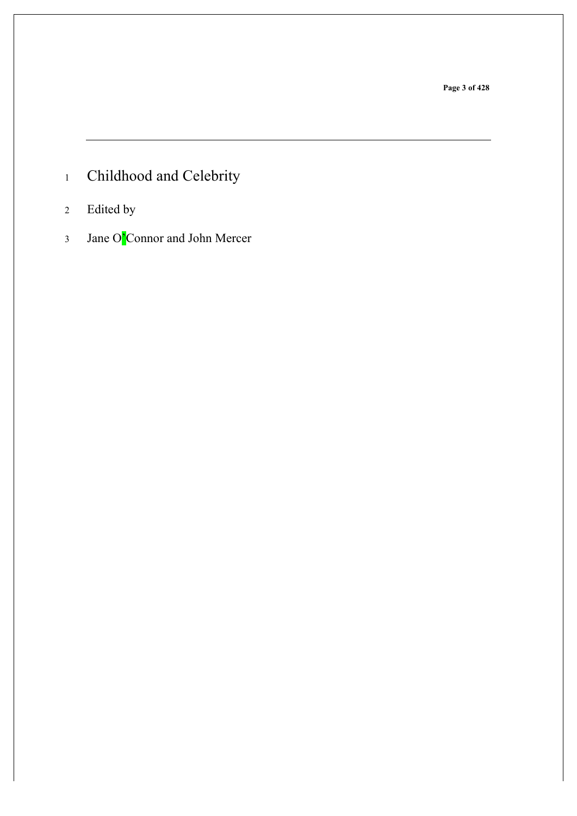**Page 3 of 428**

- Childhood and Celebrity
- Edited by
- Jane O'Connor and John Mercer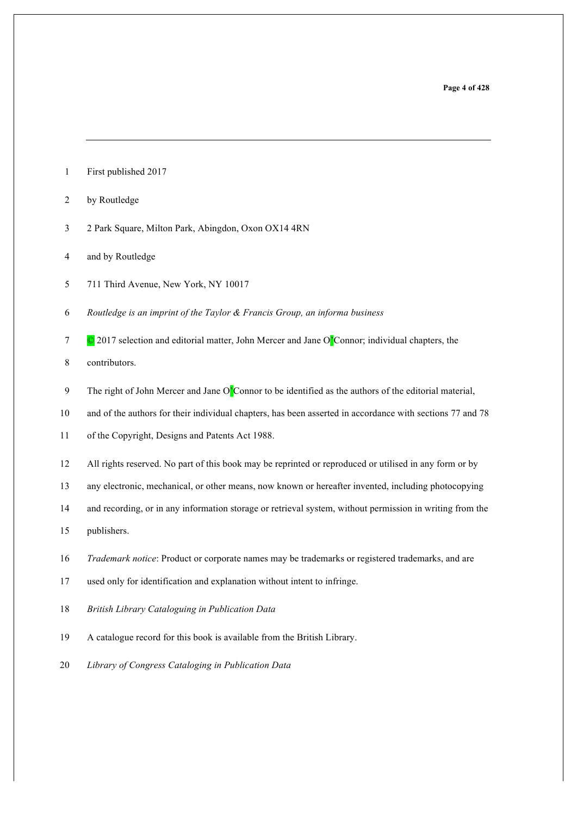- First published 2017
- by Routledge
- 2 Park Square, Milton Park, Abingdon, Oxon OX14 4RN
- and by Routledge
- 711 Third Avenue, New York, NY 10017
- *Routledge is an imprint of the Taylor & Francis Group, an informa business*
- $7 \degree$   $\degree$  2017 selection and editorial matter, John Mercer and Jane O<sup>'</sup>Connor; individual chapters, the

contributors.

- The right of John Mercer and Jane O'Connor to be identified as the authors of the editorial material,
- and of the authors for their individual chapters, has been asserted in accordance with sections 77 and 78
- of the Copyright, Designs and Patents Act 1988.
- All rights reserved. No part of this book may be reprinted or reproduced or utilised in any form or by
- any electronic, mechanical, or other means, now known or hereafter invented, including photocopying
- and recording, or in any information storage or retrieval system, without permission in writing from the
- publishers.
- *Trademark notice*: Product or corporate names may be trademarks or registered trademarks, and are
- used only for identification and explanation without intent to infringe.
- *British Library Cataloguing in Publication Data*
- A catalogue record for this book is available from the British Library.
- *Library of Congress Cataloging in Publication Data*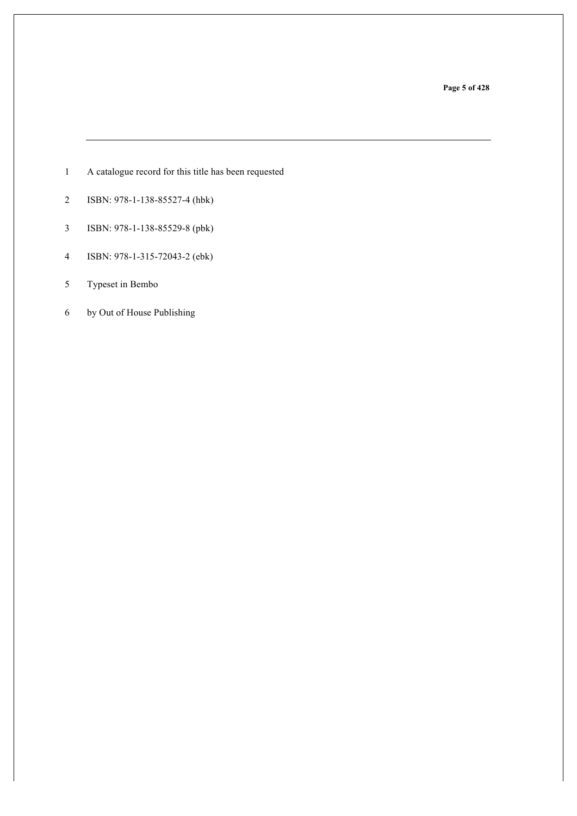**Page 5 of 428**

- A catalogue record for this title has been requested
- ISBN: 978-1-138-85527-4 (hbk)
- ISBN: 978-1-138-85529-8 (pbk)
- ISBN: 978-1-315-72043-2 (ebk)
- Typeset in Bembo
- by Out of House Publishing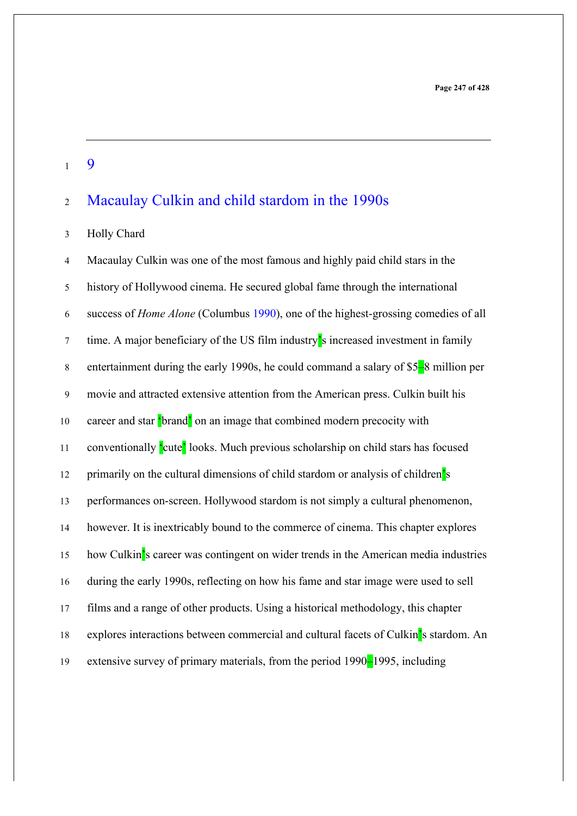$1 \quad 9$ 

### Macaulay Culkin and child stardom in the 1990s

#### Holly Chard

 Macaulay Culkin was one of the most famous and highly paid child stars in the history of Hollywood cinema. He secured global fame through the international success of *Home Alone* (Columbus 1990), one of the highest-grossing comedies of all time. A major beneficiary of the US film industry's increased investment in family entertainment during the early 1990s, he could command a salary of \$5–8 million per movie and attracted extensive attention from the American press. Culkin built his 10 career and star 'brand' on an image that combined modern precocity with conventionally 'cute' looks. Much previous scholarship on child stars has focused 12 primarily on the cultural dimensions of child stardom or analysis of children's performances on-screen. Hollywood stardom is not simply a cultural phenomenon, however. It is inextricably bound to the commerce of cinema. This chapter explores how Culkin's career was contingent on wider trends in the American media industries during the early 1990s, reflecting on how his fame and star image were used to sell films and a range of other products. Using a historical methodology, this chapter 18 explores interactions between commercial and cultural facets of Culkin's stardom. An extensive survey of primary materials, from the period 1990–1995, including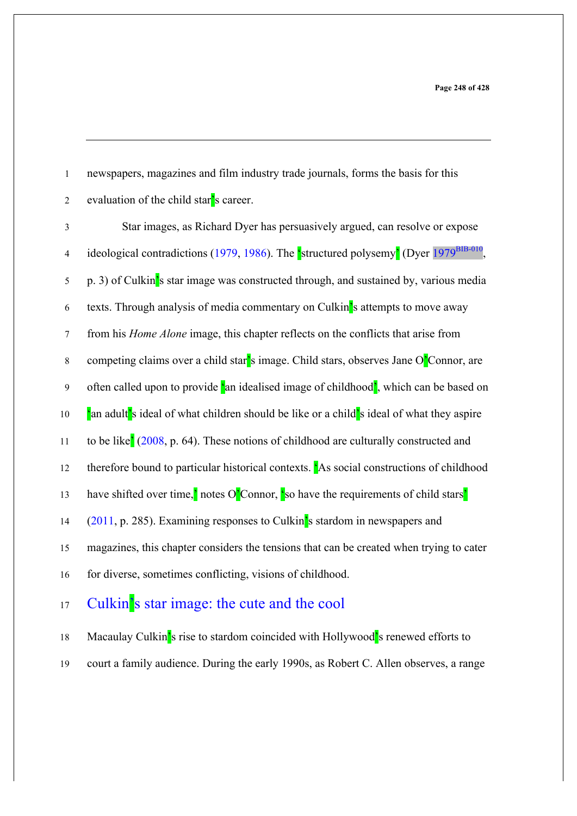newspapers, magazines and film industry trade journals, forms the basis for this evaluation of the child star's career.

 Star images, as Richard Dyer has persuasively argued, can resolve or expose 4 ideological contradictions (1979, 1986). The 'structured polysemy' (Dyer 1979<sup>BIB-010</sup> p. 3) of Culkin's star image was constructed through, and sustained by, various media texts. Through analysis of media commentary on Culkin's attempts to move away from his *Home Alone* image, this chapter reflects on the conflicts that arise from competing claims over a child star's image. Child stars, observes Jane O'Connor, are often called upon to provide 'an idealised image of childhood', which can be based on 10 <sup>'</sup>an adult's ideal of what children should be like or a child's ideal of what they aspire 11 to be like' (2008, p. 64). These notions of childhood are culturally constructed and therefore bound to particular historical contexts. 'As social constructions of childhood 13 have shifted over time,<sup> $\cdot$ </sup> notes O<sup>'</sup>Connor,  $\cdot$  so have the requirements of child stars' (2011, p. 285). Examining responses to Culkin's stardom in newspapers and magazines, this chapter considers the tensions that can be created when trying to cater for diverse, sometimes conflicting, visions of childhood.

### Culkin's star image: the cute and the cool

18 Macaulay Culkin's rise to stardom coincided with Hollywood's renewed efforts to court a family audience. During the early 1990s, as Robert C. Allen observes, a range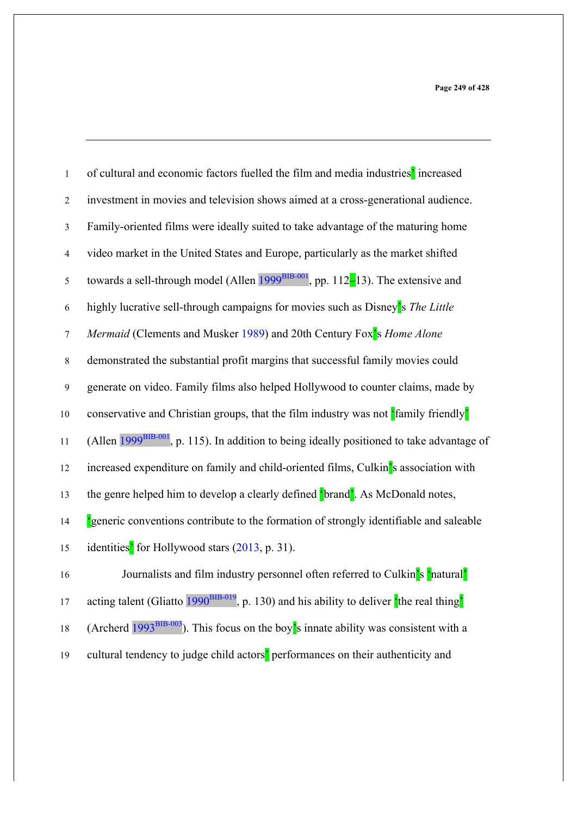| $\mathbf{1}$   | of cultural and economic factors fuelled the film and media industries' increased                        |
|----------------|----------------------------------------------------------------------------------------------------------|
| 2              | investment in movies and television shows aimed at a cross-generational audience.                        |
| $\overline{3}$ | Family-oriented films were ideally suited to take advantage of the maturing home                         |
| $\overline{4}$ | video market in the United States and Europe, particularly as the market shifted                         |
| $\sqrt{5}$     | towards a sell-through model (Allen $1999^{BIB-001}$ , pp. 112-13). The extensive and                    |
| 6              | highly lucrative sell-through campaigns for movies such as Disney's The Little                           |
| $\tau$         | Mermaid (Clements and Musker 1989) and 20th Century Fox <sup>2</sup> s Home Alone                        |
| $\,8\,$        | demonstrated the substantial profit margins that successful family movies could                          |
| 9              | generate on video. Family films also helped Hollywood to counter claims, made by                         |
| $10\,$         | conservative and Christian groups, that the film industry was not family friendly'                       |
| 11             | (Allen 1999 <sup>BIB-001</sup> , p. 115). In addition to being ideally positioned to take advantage of   |
| 12             | increased expenditure on family and child-oriented films, Culkin's association with                      |
| 13             | the genre helped him to develop a clearly defined <b>[brand]</b> . As McDonald notes,                    |
| 14             | Seneric conventions contribute to the formation of strongly identifiable and saleable                    |
| 15             | identities' for Hollywood stars (2013, p. 31).                                                           |
| 16             | Journalists and film industry personnel often referred to Culkin's 'natural'                             |
| 17             | acting talent (Gliatto $1990^{BIB-019}$ , p. 130) and his ability to deliver the real thing <sup>2</sup> |

19 cultural tendency to judge child actors<sup>'</sup> performances on their authenticity and

18 (Archerd  $1993^{BIB-003}$ ). This focus on the boy's innate ability was consistent with a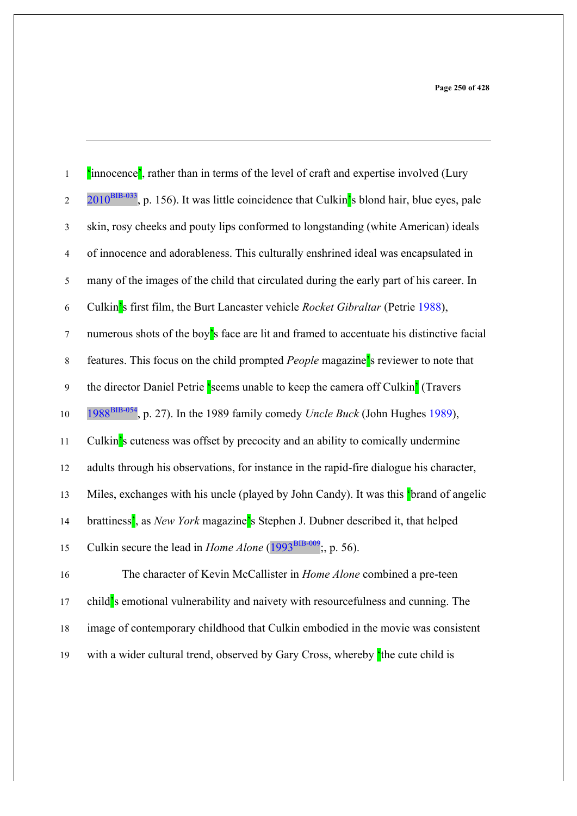| $\,1$            | 'innocence', rather than in terms of the level of craft and expertise involved (Lury                   |
|------------------|--------------------------------------------------------------------------------------------------------|
| $\boldsymbol{2}$ | 2010 <sup>BIB-033</sup> , p. 156). It was little coincidence that Culkin's blond hair, blue eyes, pale |
| $\mathfrak{Z}$   | skin, rosy cheeks and pouty lips conformed to longstanding (white American) ideals                     |
| $\overline{4}$   | of innocence and adorableness. This culturally enshrined ideal was encapsulated in                     |
| $\sqrt{5}$       | many of the images of the child that circulated during the early part of his career. In                |
| $\sqrt{6}$       | Culkin's first film, the Burt Lancaster vehicle Rocket Gibraltar (Petrie 1988),                        |
| $\boldsymbol{7}$ | numerous shots of the boy's face are lit and framed to accentuate his distinctive facial               |
| $\,8\,$          | features. This focus on the child prompted People magazine's reviewer to note that                     |
| $\mathbf{9}$     | the director Daniel Petrie 'seems unable to keep the camera off Culkin' (Travers                       |
| $10\,$           | 1988 <sup>BIB-054</sup> , p. 27). In the 1989 family comedy <i>Uncle Buck</i> (John Hughes 1989),      |
| 11               | Culkin's cuteness was offset by precocity and an ability to comically undermine                        |
| 12               | adults through his observations, for instance in the rapid-fire dialogue his character,                |
| 13               | Miles, exchanges with his uncle (played by John Candy). It was this 'brand of angelic                  |
| 14               | brattiness', as New York magazine's Stephen J. Dubner described it, that helped                        |
| 15               | Culkin secure the lead in <i>Home Alone</i> ( $1993^{BIB-009}$ , p. 56).                               |
| 16               | The character of Kevin McCallister in Home Alone combined a pre-teen                                   |
| 17               | child's emotional vulnerability and naivety with resourcefulness and cunning. The                      |
| $18\,$           | image of contemporary childhood that Culkin embodied in the movie was consistent                       |
| 19               | with a wider cultural trend, observed by Gary Cross, whereby the cute child is                         |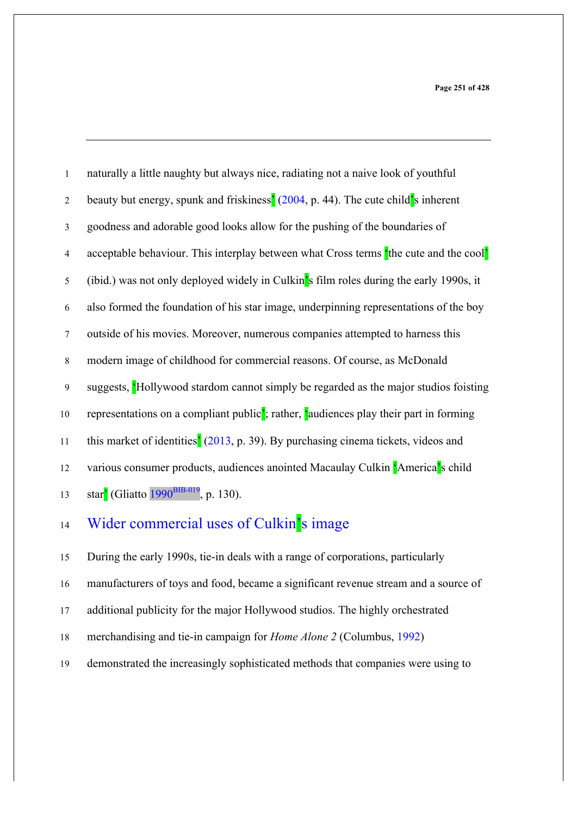| $\mathbf{1}$   | naturally a little naughty but always nice, radiating not a naive look of youthful                 |
|----------------|----------------------------------------------------------------------------------------------------|
| $\overline{2}$ | beauty but energy, spunk and friskiness <sup>'</sup> (2004, p. 44). The cute child's inherent      |
| 3              | goodness and adorable good looks allow for the pushing of the boundaries of                        |
| $\overline{4}$ | acceptable behaviour. This interplay between what Cross terms the cute and the cool'               |
| 5              | (ibid.) was not only deployed widely in Culkin's film roles during the early 1990s, it             |
| 6              | also formed the foundation of his star image, underpinning representations of the boy              |
| $\tau$         | outside of his movies. Moreover, numerous companies attempted to harness this                      |
| $\,8\,$        | modern image of childhood for commercial reasons. Of course, as McDonald                           |
| 9              | suggests, 'Hollywood stardom cannot simply be regarded as the major studios foisting               |
| 10             | representations on a compliant public <sup>2</sup> ; rather, faudiences play their part in forming |
| 11             | this market of identities <sup>'</sup> (2013, p. 39). By purchasing cinema tickets, videos and     |
| 12             | various consumer products, audiences anointed Macaulay Culkin 'America's child                     |
| 13             | star <sup>2</sup> (Gliatto 1990 <sup>BIB-019</sup> , p. 130).                                      |
|                |                                                                                                    |

## 14 Wider commercial uses of Culkin's image

During the early 1990s, tie-in deals with a range of corporations, particularly

- manufacturers of toys and food, became a significant revenue stream and a source of
- additional publicity for the major Hollywood studios. The highly orchestrated
- merchandising and tie-in campaign for *Home Alone 2* (Columbus, 1992)
- demonstrated the increasingly sophisticated methods that companies were using to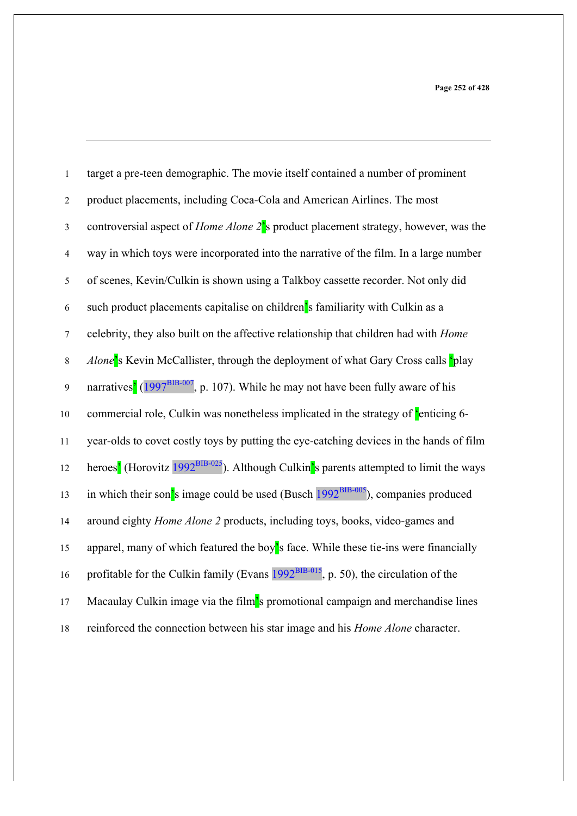**Page 252 of 428**

| $\mathbf 1$      | target a pre-teen demographic. The movie itself contained a number of prominent                                |
|------------------|----------------------------------------------------------------------------------------------------------------|
| $\sqrt{2}$       | product placements, including Coca-Cola and American Airlines. The most                                        |
| $\mathfrak{Z}$   | controversial aspect of <i>Home Alone</i> $2^{\prime}$ s product placement strategy, however, was the          |
| $\overline{4}$   | way in which toys were incorporated into the narrative of the film. In a large number                          |
| 5                | of scenes, Kevin/Culkin is shown using a Talkboy cassette recorder. Not only did                               |
| 6                | such product placements capitalise on children's familiarity with Culkin as a                                  |
| $\boldsymbol{7}$ | celebrity, they also built on the affective relationship that children had with <i>Home</i>                    |
| $\,8\,$          | Alone's Kevin McCallister, through the deployment of what Gary Cross calls 'play                               |
| $\overline{9}$   | narratives <sup>'</sup> (1997 <sup>BIB-007</sup> , p. 107). While he may not have been fully aware of his      |
| $10\,$           | commercial role, Culkin was nonetheless implicated in the strategy of 'enticing 6-                             |
| $11\,$           | year-olds to covet costly toys by putting the eye-catching devices in the hands of film                        |
| 12               | heroes <sup>'</sup> (Horovitz 1992 <sup>BIB-025</sup> ). Although Culkin's parents attempted to limit the ways |
| 13               | in which their son <sup>'</sup> s image could be used (Busch $1992BIB-005$ ), companies produced               |
| 14               | around eighty <i>Home Alone 2</i> products, including toys, books, video-games and                             |
| 15               | apparel, many of which featured the boy's face. While these tie-ins were financially                           |
| 16               | profitable for the Culkin family (Evans $1992^{BIB-015}$ , p. 50), the circulation of the                      |
| 17               | Macaulay Culkin image via the film's promotional campaign and merchandise lines                                |
| $18\,$           | reinforced the connection between his star image and his Home Alone character.                                 |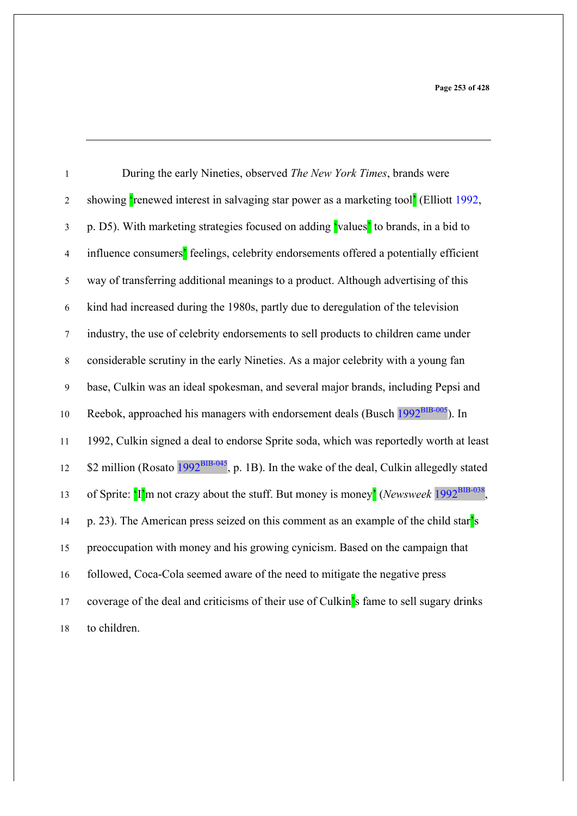| $\mathbf{1}$     | During the early Nineties, observed The New York Times, brands were                                               |
|------------------|-------------------------------------------------------------------------------------------------------------------|
| $\boldsymbol{2}$ | showing 'renewed interest in salvaging star power as a marketing tool' (Elliott 1992,                             |
| $\mathfrak{Z}$   | p. D5). With marketing strategies focused on adding values <sup>'</sup> to brands, in a bid to                    |
| $\overline{4}$   | influence consumers' feelings, celebrity endorsements offered a potentially efficient                             |
| $\sqrt{5}$       | way of transferring additional meanings to a product. Although advertising of this                                |
| 6                | kind had increased during the 1980s, partly due to deregulation of the television                                 |
| $\boldsymbol{7}$ | industry, the use of celebrity endorsements to sell products to children came under                               |
| $\,$ 8 $\,$      | considerable scrutiny in the early Nineties. As a major celebrity with a young fan                                |
| $\boldsymbol{9}$ | base, Culkin was an ideal spokesman, and several major brands, including Pepsi and                                |
| 10               | Reebok, approached his managers with endorsement deals (Busch 1992 <sup>BIB-005</sup> ). In                       |
| 11               | 1992, Culkin signed a deal to endorse Sprite soda, which was reportedly worth at least                            |
| 12               | \$2 million (Rosato 1992 <sup>BIB-045</sup> , p. 1B). In the wake of the deal, Culkin allegedly stated            |
| 13               | of Sprite: $\frac{[n]}{[n]}$ m not crazy about the stuff. But money is money' (Newsweek 1992 <sup>BIB-038</sup> , |
| 14               | p. 23). The American press seized on this comment as an example of the child star's                               |
| 15               | preoccupation with money and his growing cynicism. Based on the campaign that                                     |
| 16               | followed, Coca-Cola seemed aware of the need to mitigate the negative press                                       |
| 17               | coverage of the deal and criticisms of their use of Culkin's fame to sell sugary drinks                           |
| 18               | to children.                                                                                                      |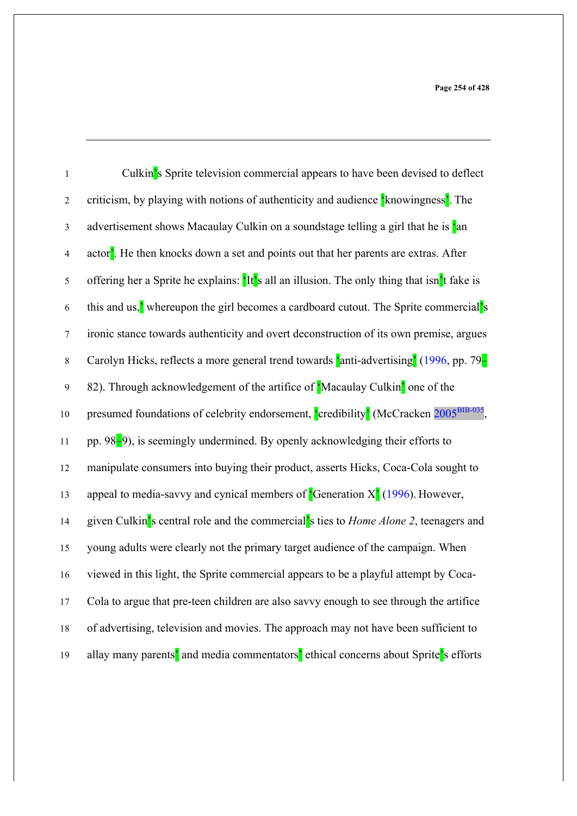| $\,1$            | Culkin's Sprite television commercial appears to have been devised to deflect                                 |
|------------------|---------------------------------------------------------------------------------------------------------------|
| $\sqrt{2}$       | criticism, by playing with notions of authenticity and audience <i>k</i> nowingness <sup>7</sup> . The        |
| $\mathfrak{Z}$   | advertisement shows Macaulay Culkin on a soundstage telling a girl that he is 'an                             |
| $\overline{4}$   | actor <sup>2</sup> . He then knocks down a set and points out that her parents are extras. After              |
| $\sqrt{5}$       | offering her a Sprite he explains: 'It's all an illusion. The only thing that isn't fake is                   |
| 6                | this and us, <sup>2</sup> whereupon the girl becomes a cardboard cutout. The Sprite commercial <sup>'</sup> s |
| $\boldsymbol{7}$ | ironic stance towards authenticity and overt deconstruction of its own premise, argues                        |
| $\,8\,$          | Carolyn Hicks, reflects a more general trend towards 'anti-advertising' (1996, pp. 79-                        |
| $\mathbf{9}$     | 82). Through acknowledgement of the artifice of 'Macaulay Culkin' one of the                                  |
| $10\,$           | presumed foundations of celebrity endorsement, credibility' (McCracken 2005 <sup>BIB-035</sup> ,              |
| 11               | pp. 98-9), is seemingly undermined. By openly acknowledging their efforts to                                  |
| 12               | manipulate consumers into buying their product, asserts Hicks, Coca-Cola sought to                            |
| 13               | appeal to media-savvy and cynical members of <b>G</b> eneration $X^2(1996)$ . However,                        |
| 14               | given Culkin's central role and the commercial's ties to <i>Home Alone 2</i> , teenagers and                  |
| 15               | young adults were clearly not the primary target audience of the campaign. When                               |
| 16               | viewed in this light, the Sprite commercial appears to be a playful attempt by Coca-                          |
| $17$             | Cola to argue that pre-teen children are also savvy enough to see through the artifice                        |
| $18\,$           | of advertising, television and movies. The approach may not have been sufficient to                           |
| 19               | allay many parents' and media commentators' ethical concerns about Sprite's efforts                           |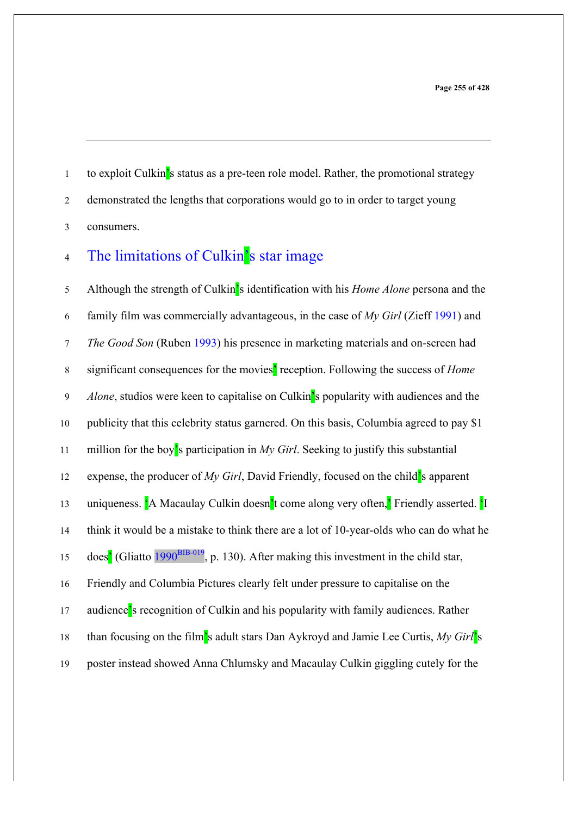1 to exploit Culkin's status as a pre-teen role model. Rather, the promotional strategy demonstrated the lengths that corporations would go to in order to target young consumers.

# 4 The limitations of Culkin's star image

 Although the strength of Culkin's identification with his *Home Alone* persona and the family film was commercially advantageous, in the case of *My Girl* (Zieff 1991) and *The Good Son* (Ruben 1993) his presence in marketing materials and on-screen had significant consequences for the movies' reception. Following the success of *Home Alone*, studios were keen to capitalise on Culkin's popularity with audiences and the publicity that this celebrity status garnered. On this basis, Columbia agreed to pay \$1 million for the boy's participation in *My Girl*. Seeking to justify this substantial expense, the producer of *My Girl*, David Friendly, focused on the child's apparent 13 uniqueness. <sup>'</sup>A Macaulay Culkin doesn't come along very often,' Friendly asserted. 'I think it would be a mistake to think there are a lot of 10-year-olds who can do what he  $\frac{15}{15}$  does<sup>'</sup> (Gliatto  $\frac{1990^{BIB-019}}{1990}$ , p. 130). After making this investment in the child star, Friendly and Columbia Pictures clearly felt under pressure to capitalise on the audience's recognition of Culkin and his popularity with family audiences. Rather than focusing on the film's adult stars Dan Aykroyd and Jamie Lee Curtis, *My Girl*'s poster instead showed Anna Chlumsky and Macaulay Culkin giggling cutely for the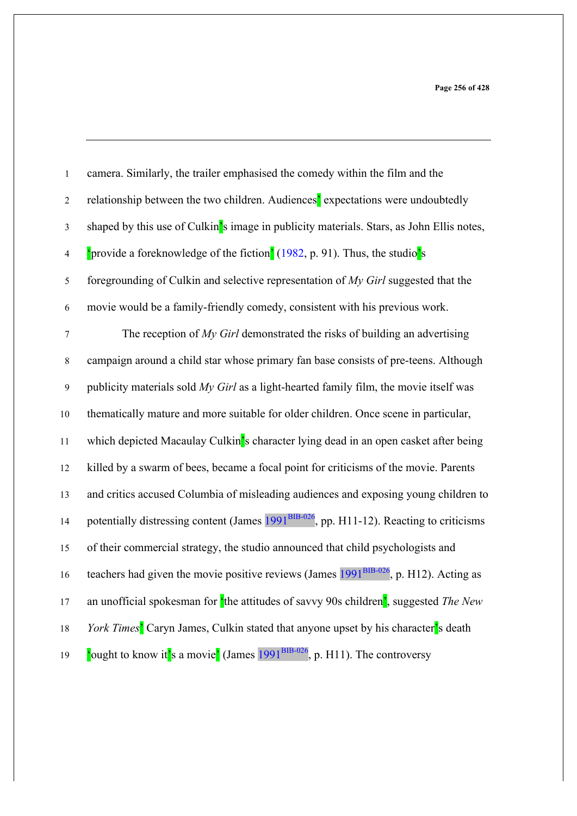| $\,1$            | camera. Similarly, the trailer emphasised the comedy within the film and the                                          |
|------------------|-----------------------------------------------------------------------------------------------------------------------|
| $\boldsymbol{2}$ | relationship between the two children. Audiences' expectations were undoubtedly                                       |
| $\mathfrak{Z}$   | shaped by this use of Culkin's image in publicity materials. Stars, as John Ellis notes,                              |
| $\overline{4}$   | 'provide a foreknowledge of the fiction' (1982, p. 91). Thus, the studio's                                            |
| $\sqrt{5}$       | foregrounding of Culkin and selective representation of $My$ Girl suggested that the                                  |
| $\sqrt{6}$       | movie would be a family-friendly comedy, consistent with his previous work.                                           |
| $\boldsymbol{7}$ | The reception of $My$ Girl demonstrated the risks of building an advertising                                          |
| $\,8\,$          | campaign around a child star whose primary fan base consists of pre-teens. Although                                   |
| $\boldsymbol{9}$ | publicity materials sold $My$ Girl as a light-hearted family film, the movie itself was                               |
| $10\,$           | thematically mature and more suitable for older children. Once scene in particular,                                   |
| 11               | which depicted Macaulay Culkin's character lying dead in an open casket after being                                   |
| 12               | killed by a swarm of bees, became a focal point for criticisms of the movie. Parents                                  |
| 13               | and critics accused Columbia of misleading audiences and exposing young children to                                   |
| 14               | potentially distressing content (James 1991 <sup>BIB-026</sup> , pp. H11-12). Reacting to criticisms                  |
| 15               | of their commercial strategy, the studio announced that child psychologists and                                       |
| 16               | teachers had given the movie positive reviews (James $1991^{BB-026}$ , p. H12). Acting as                             |
| 17               | an unofficial spokesman for $\frac{1}{2}$ the attitudes of savvy 90s children <sup>'</sup> , suggested <i>The New</i> |
| $18\,$           | York Times <sup>2</sup> Caryn James, Culkin stated that anyone upset by his character <sup>2</sup> s death            |
| 19               | ought to know it's a movie' (James $1991^{BIB-026}$ , p. H11). The controversy                                        |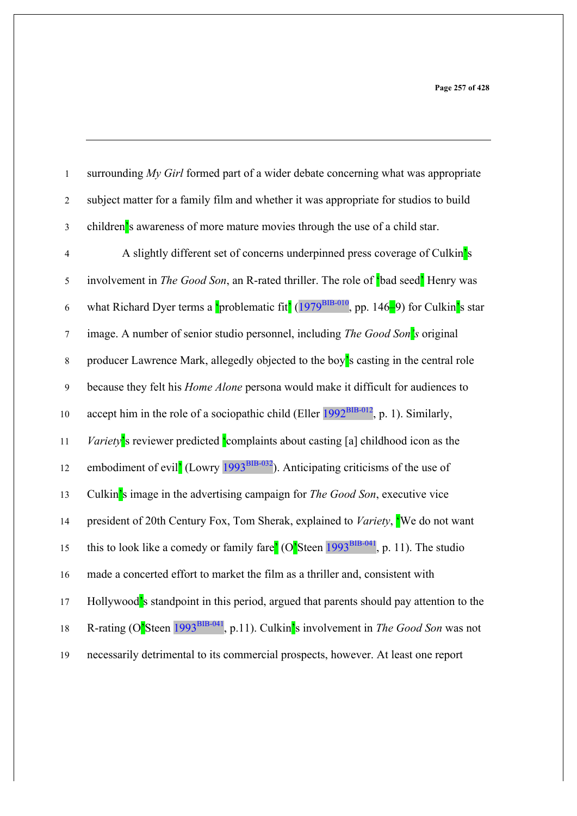| $\mathbf 1$      | surrounding My Girl formed part of a wider debate concerning what was appropriate                                         |
|------------------|---------------------------------------------------------------------------------------------------------------------------|
| $\overline{2}$   | subject matter for a family film and whether it was appropriate for studios to build                                      |
| $\mathfrak{Z}$   | children's awareness of more mature movies through the use of a child star.                                               |
| $\overline{4}$   | A slightly different set of concerns underpinned press coverage of Culkin's                                               |
| $\mathfrak s$    | involvement in <i>The Good Son</i> , an R-rated thriller. The role of <b>bad seed</b> ' Henry was                         |
| 6                | what Richard Dyer terms a <i>problematic</i> fit <sup>'</sup> (1979 <sup>BIB-010</sup> , pp. 146–9) for Culkin's star     |
| $\boldsymbol{7}$ | image. A number of senior studio personnel, including <i>The Good Son's</i> original                                      |
| $\,8\,$          | producer Lawrence Mark, allegedly objected to the boy's casting in the central role                                       |
| $\mathbf{9}$     | because they felt his <i>Home Alone</i> persona would make it difficult for audiences to                                  |
| $10\,$           | accept him in the role of a sociopathic child (Eller 1992 <sup>BIB-012</sup> , p. 1). Similarly,                          |
| 11               | <i>Variety</i> 's reviewer predicted complaints about casting [a] childhood icon as the                                   |
| 12               | embodiment of evil <sup>'</sup> (Lowry $1993^{BIB-032}$ ). Anticipating criticisms of the use of                          |
| 13               | Culkin's image in the advertising campaign for <i>The Good Son</i> , executive vice                                       |
| 14               | president of 20th Century Fox, Tom Sherak, explained to Variety, We do not want                                           |
| 15               | this to look like a comedy or family fare <sup>2</sup> (O <sup>2</sup> Steen 1993 <sup>BIB-041</sup> , p. 11). The studio |
| 16               | made a concerted effort to market the film as a thriller and, consistent with                                             |
| 17               | Hollywood's standpoint in this period, argued that parents should pay attention to the                                    |
| $18\,$           | R-rating (O'Steen 1993 <sup>BIB-041</sup> , p.11). Culkin's involvement in <i>The Good Son</i> was not                    |
| 19               | necessarily detrimental to its commercial prospects, however. At least one report                                         |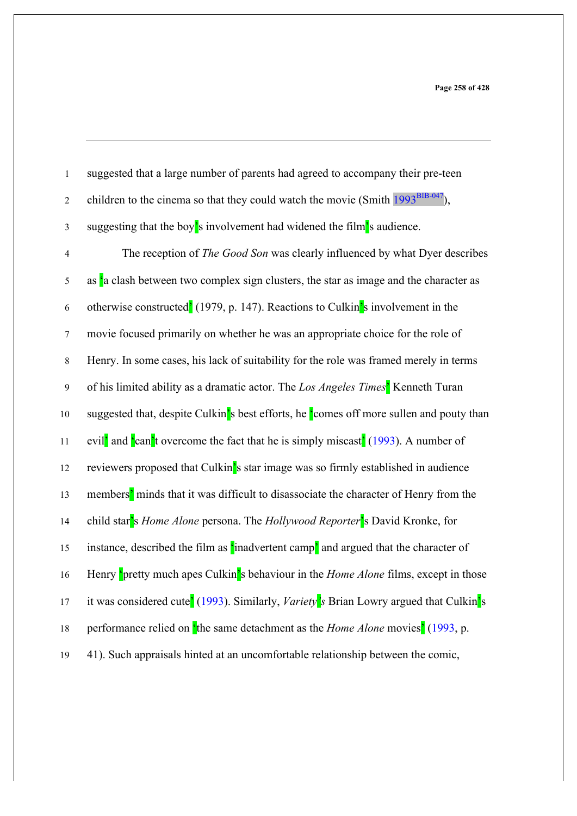| $\,1\,$          | suggested that a large number of parents had agreed to accompany their pre-teen                                                    |
|------------------|------------------------------------------------------------------------------------------------------------------------------------|
| $\boldsymbol{2}$ | children to the cinema so that they could watch the movie (Smith $1993^{BIB-047}$ ),                                               |
| $\mathfrak{Z}$   | suggesting that the boy's involvement had widened the film's audience.                                                             |
| $\overline{4}$   | The reception of The Good Son was clearly influenced by what Dyer describes                                                        |
| $\sqrt{5}$       | as 'a clash between two complex sign clusters, the star as image and the character as                                              |
| $\sqrt{6}$       | otherwise constructed <sup>2</sup> (1979, p. 147). Reactions to Culkin <sup>2</sup> s involvement in the                           |
| $\tau$           | movie focused primarily on whether he was an appropriate choice for the role of                                                    |
| $\,8\,$          | Henry. In some cases, his lack of suitability for the role was framed merely in terms                                              |
| $\mathbf{9}$     | of his limited ability as a dramatic actor. The Los Angeles Times' Kenneth Turan                                                   |
| $10\,$           | suggested that, despite Culkin's best efforts, he comes off more sullen and pouty than                                             |
| 11               | evil <sup>'</sup> and <sup>'</sup> can <sup>'</sup> t overcome the fact that he is simply miscast <sup>'</sup> (1993). A number of |
| 12               | reviewers proposed that Culkin's star image was so firmly established in audience                                                  |
| 13               | members' minds that it was difficult to disassociate the character of Henry from the                                               |
| 14               | child star's Home Alone persona. The Hollywood Reporter's David Kronke, for                                                        |
| 15               | instance, described the film as 'inadvertent camp' and argued that the character of                                                |
| 16               | Henry <b>pretty</b> much apes Culkin's behaviour in the <i>Home Alone</i> films, except in those                                   |
| 17               | it was considered cute <sup>2</sup> (1993). Similarly, <i>Variety</i> <sup>2</sup> s Brian Lowry argued that Culkin <sup>2</sup> s |
| 18               | performance relied on the same detachment as the <i>Home Alone</i> movies' (1993, p.                                               |
| 19               | 41). Such appraisals hinted at an uncomfortable relationship between the comic,                                                    |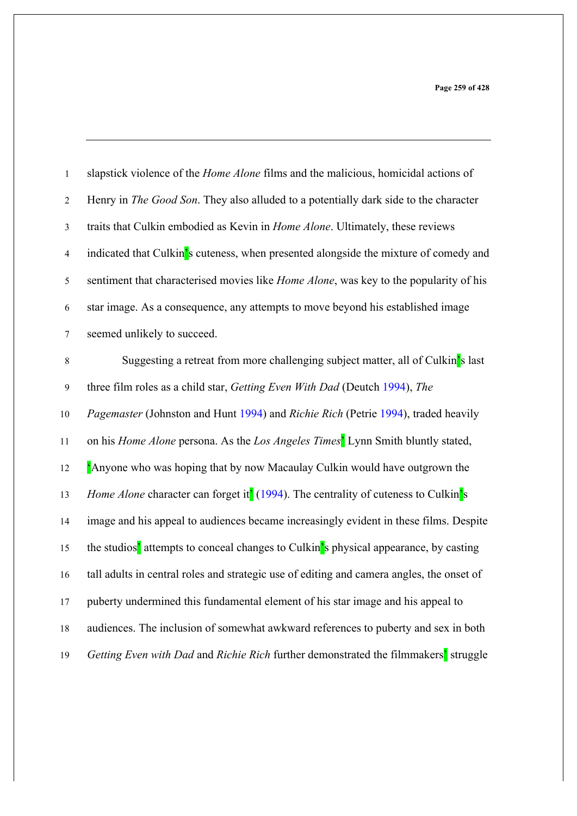| $\mathbf{1}$   | slapstick violence of the <i>Home Alone</i> films and the malicious, homicidal actions of                     |
|----------------|---------------------------------------------------------------------------------------------------------------|
| $\sqrt{2}$     | Henry in <i>The Good Son</i> . They also alluded to a potentially dark side to the character                  |
| $\mathfrak{Z}$ | traits that Culkin embodied as Kevin in <i>Home Alone</i> . Ultimately, these reviews                         |
| $\overline{4}$ | indicated that Culkin's cuteness, when presented alongside the mixture of comedy and                          |
| $\sqrt{5}$     | sentiment that characterised movies like <i>Home Alone</i> , was key to the popularity of his                 |
| 6              | star image. As a consequence, any attempts to move beyond his established image                               |
| $\tau$         | seemed unlikely to succeed.                                                                                   |
| $\,8\,$        | Suggesting a retreat from more challenging subject matter, all of Culkin's last                               |
| $\mathbf{9}$   | three film roles as a child star, Getting Even With Dad (Deutch 1994), The                                    |
| $10\,$         | Pagemaster (Johnston and Hunt 1994) and Richie Rich (Petrie 1994), traded heavily                             |
| 11             | on his <i>Home Alone</i> persona. As the <i>Los Angeles Times</i> <sup>'</sup> Lynn Smith bluntly stated,     |
| 12             | Anyone who was hoping that by now Macaulay Culkin would have outgrown the                                     |
| 13             | Home Alone character can forget it <sup>'</sup> (1994). The centrality of cuteness to Culkin's                |
| 14             | image and his appeal to audiences became increasingly evident in these films. Despite                         |
| 15             | the studios <sup>2</sup> attempts to conceal changes to Culkin <sup>2</sup> s physical appearance, by casting |
| 16             | tall adults in central roles and strategic use of editing and camera angles, the onset of                     |
| 17             | puberty undermined this fundamental element of his star image and his appeal to                               |
| 18             | audiences. The inclusion of somewhat awkward references to puberty and sex in both                            |
| 19             | Getting Even with Dad and Richie Rich further demonstrated the filmmakers' struggle                           |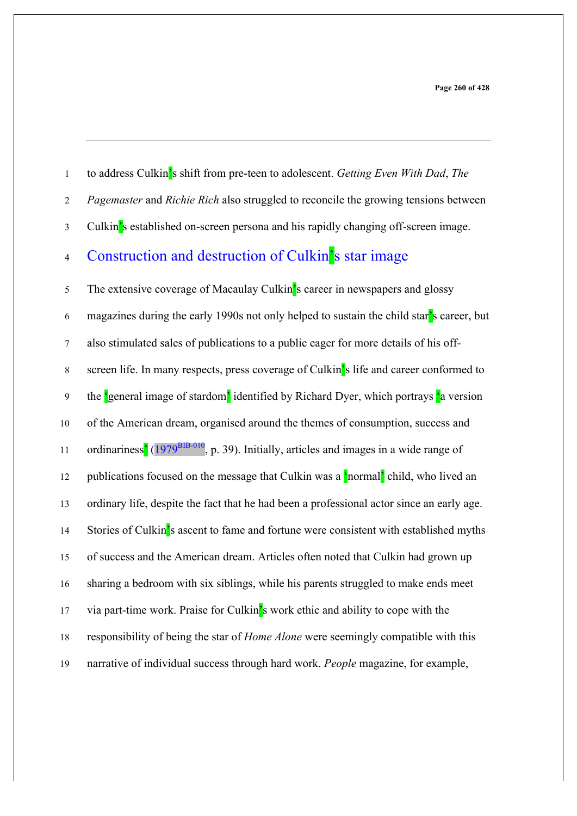|  | to address Culkin's shift from pre-teen to adolescent. Getting Even With Dad, The |  |  |
|--|-----------------------------------------------------------------------------------|--|--|
|  |                                                                                   |  |  |

- *Pagemaster* and *Richie Rich* also struggled to reconcile the growing tensions between
- Culkin's established on-screen persona and his rapidly changing off-screen image.

## 4 Construction and destruction of Culkin's star image

 The extensive coverage of Macaulay Culkin's career in newspapers and glossy magazines during the early 1990s not only helped to sustain the child star's career, but also stimulated sales of publications to a public eager for more details of his off- screen life. In many respects, press coverage of Culkin's life and career conformed to 9 the 'general image of stardom' identified by Richard Dyer, which portrays 'a version of the American dream, organised around the themes of consumption, success and 11 ordinariness<sup>'</sup> (1979<sup>BIB-010</sup>, p. 39). Initially, articles and images in a wide range of 12 publications focused on the message that Culkin was a  $\frac{1}{2}$  child, who lived an ordinary life, despite the fact that he had been a professional actor since an early age. 14 Stories of Culkin's ascent to fame and fortune were consistent with established myths of success and the American dream. Articles often noted that Culkin had grown up sharing a bedroom with six siblings, while his parents struggled to make ends meet via part-time work. Praise for Culkin's work ethic and ability to cope with the responsibility of being the star of *Home Alone* were seemingly compatible with this narrative of individual success through hard work. *People* magazine, for example,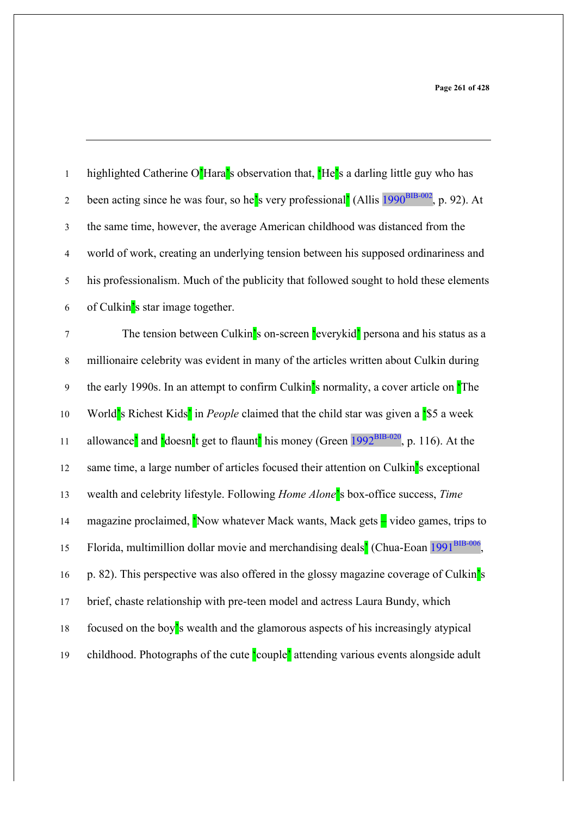| $\mathbf 1$      | highlighted Catherine O'Hara's observation that, 'He's a darling little guy who has                                                                |
|------------------|----------------------------------------------------------------------------------------------------------------------------------------------------|
| $\boldsymbol{2}$ | been acting since he was four, so he's very professional' (Allis 1990 <sup>BIB-002</sup> , p. 92). At                                              |
| $\mathfrak{Z}$   | the same time, however, the average American childhood was distanced from the                                                                      |
| $\overline{4}$   | world of work, creating an underlying tension between his supposed ordinariness and                                                                |
| 5                | his professionalism. Much of the publicity that followed sought to hold these elements                                                             |
| 6                | of Culkin's star image together.                                                                                                                   |
| $\boldsymbol{7}$ | The tension between Culkin's on-screen 'everykid' persona and his status as a                                                                      |
| $\,$ 8 $\,$      | millionaire celebrity was evident in many of the articles written about Culkin during                                                              |
| 9                | the early 1990s. In an attempt to confirm Culkin's normality, a cover article on The                                                               |
| 10               | World's Richest Kids' in <i>People</i> claimed that the child star was given a '\$5 a week                                                         |
| 11               | allowance <sup>2</sup> and <sup>'</sup> doesn <sup>2</sup> t get to flaunt <sup>2</sup> his money (Green 1992 <sup>BIB-020</sup> , p. 116). At the |
| 12               | same time, a large number of articles focused their attention on Culkin's exceptional                                                              |
| 13               | wealth and celebrity lifestyle. Following Home Alone's box-office success, Time                                                                    |
| 14               | magazine proclaimed, 'Now whatever Mack wants, Mack gets - video games, trips to                                                                   |
| 15               | Florida, multimillion dollar movie and merchandising deals <sup>7</sup> (Chua-Eoan 1991 <sup>BIB-006</sup> ,                                       |
| 16               | p. 82). This perspective was also offered in the glossy magazine coverage of Culkin's                                                              |
| 17               | brief, chaste relationship with pre-teen model and actress Laura Bundy, which                                                                      |
| $18\,$           | focused on the boy's wealth and the glamorous aspects of his increasingly atypical                                                                 |
| 19               | childhood. Photographs of the cute couple' attending various events alongside adult                                                                |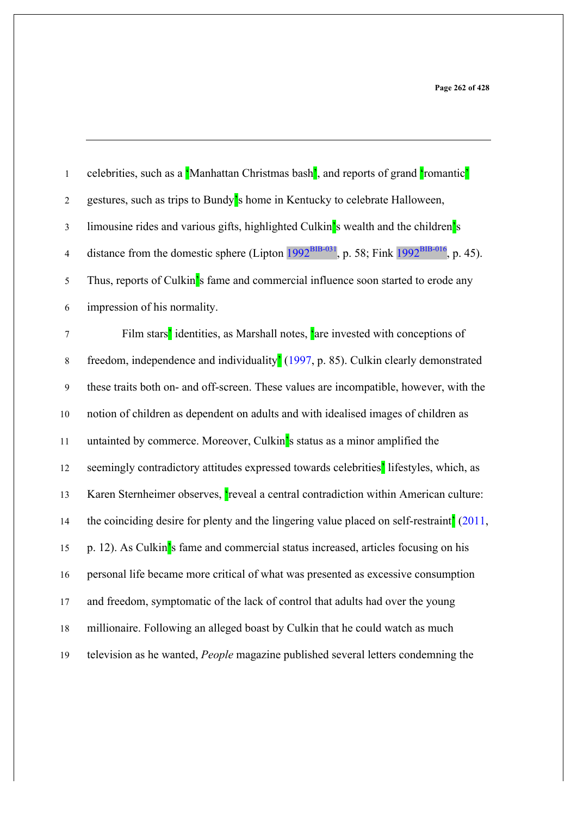| $\mathbf{1}$     | celebrities, such as a Manhattan Christmas bash <sup>2</sup> , and reports of grand <b>'</b> romantic <sup>2</sup> |
|------------------|--------------------------------------------------------------------------------------------------------------------|
| $\boldsymbol{2}$ | gestures, such as trips to Bundy's home in Kentucky to celebrate Halloween,                                        |
| $\mathfrak{Z}$   | limousine rides and various gifts, highlighted Culkin's wealth and the children's                                  |
| $\overline{4}$   | distance from the domestic sphere (Lipton $1992^{BIB-031}$ , p. 58; Fink $1992^{BIB-016}$ , p. 45).                |
| 5                | Thus, reports of Culkin's fame and commercial influence soon started to erode any                                  |
| 6                | impression of his normality.                                                                                       |
| $\boldsymbol{7}$ | Film stars' identities, as Marshall notes, 'are invested with conceptions of                                       |
| $\,$ 8 $\,$      | freedom, independence and individuality <sup>1</sup> (1997, p. 85). Culkin clearly demonstrated                    |
| 9                | these traits both on- and off-screen. These values are incompatible, however, with the                             |
| 10               | notion of children as dependent on adults and with idealised images of children as                                 |
| 11               | untainted by commerce. Moreover, Culkin's status as a minor amplified the                                          |
| 12               | seemingly contradictory attitudes expressed towards celebrities' lifestyles, which, as                             |
| 13               | Karen Sternheimer observes, reveal a central contradiction within American culture:                                |
| 14               | the coinciding desire for plenty and the lingering value placed on self-restraint <sup>2</sup> (2011,              |
| 15               | p. 12). As Culkin's fame and commercial status increased, articles focusing on his                                 |
| 16               | personal life became more critical of what was presented as excessive consumption                                  |
| 17               | and freedom, symptomatic of the lack of control that adults had over the young                                     |
| $18\,$           | millionaire. Following an alleged boast by Culkin that he could watch as much                                      |
| 19               | television as he wanted, People magazine published several letters condemning the                                  |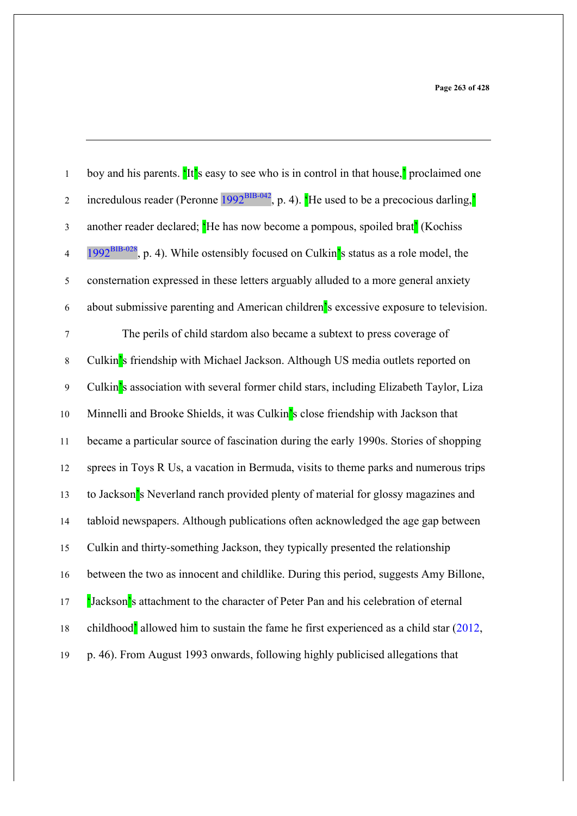| $\,1$            | boy and his parents. 'It's easy to see who is in control in that house,' proclaimed one    |
|------------------|--------------------------------------------------------------------------------------------|
| $\sqrt{2}$       | incredulous reader (Peronne $1992^{BIB-042}$ , p. 4). He used to be a precocious darling,  |
| $\mathfrak{Z}$   | another reader declared; He has now become a pompous, spoiled brat <sup>'</sup> (Kochiss   |
| $\overline{4}$   | $1992^{BIB-028}$ , p. 4). While ostensibly focused on Culkin's status as a role model, the |
| $\sqrt{5}$       | consternation expressed in these letters arguably alluded to a more general anxiety        |
| 6                | about submissive parenting and American children's excessive exposure to television.       |
| $\boldsymbol{7}$ | The perils of child stardom also became a subtext to press coverage of                     |
| $\,8\,$          | Culkin's friendship with Michael Jackson. Although US media outlets reported on            |
| $\mathbf{9}$     | Culkin's association with several former child stars, including Elizabeth Taylor, Liza     |
| $10\,$           | Minnelli and Brooke Shields, it was Culkin's close friendship with Jackson that            |
| 11               | became a particular source of fascination during the early 1990s. Stories of shopping      |
| 12               | sprees in Toys R Us, a vacation in Bermuda, visits to theme parks and numerous trips       |
| 13               | to Jackson's Neverland ranch provided plenty of material for glossy magazines and          |
| 14               | tabloid newspapers. Although publications often acknowledged the age gap between           |
| 15               | Culkin and thirty-something Jackson, they typically presented the relationship             |
| 16               | between the two as innocent and childlike. During this period, suggests Amy Billone,       |
| $17$             | <b>Solution</b> 's attachment to the character of Peter Pan and his celebration of eternal |
| $18\,$           | childhood' allowed him to sustain the fame he first experienced as a child star (2012,     |
| 19               | p. 46). From August 1993 onwards, following highly publicised allegations that             |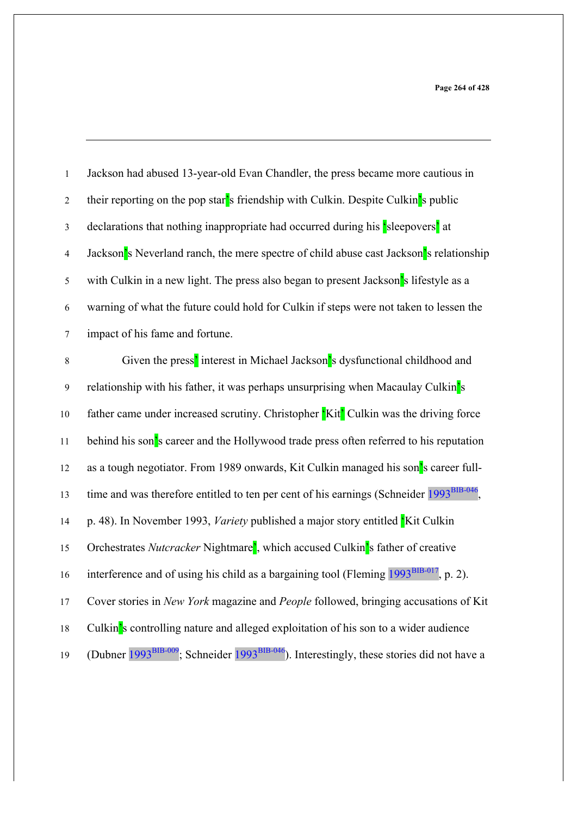| $\mathbf{1}$   | Jackson had abused 13-year-old Evan Chandler, the press became more cautious in                                    |
|----------------|--------------------------------------------------------------------------------------------------------------------|
| $\sqrt{2}$     | their reporting on the pop star's friendship with Culkin. Despite Culkin's public                                  |
| $\mathfrak{Z}$ | declarations that nothing inappropriate had occurred during his sleepovers' at                                     |
| $\overline{4}$ | Jackson's Neverland ranch, the mere spectre of child abuse cast Jackson's relationship                             |
| $\sqrt{5}$     | with Culkin in a new light. The press also began to present Jackson's lifestyle as a                               |
| $\sqrt{6}$     | warning of what the future could hold for Culkin if steps were not taken to lessen the                             |
| $\overline{7}$ | impact of his fame and fortune.                                                                                    |
| $\,8\,$        | Given the press' interest in Michael Jackson's dysfunctional childhood and                                         |
| $\overline{9}$ | relationship with his father, it was perhaps unsurprising when Macaulay Culkin's                                   |
| $10\,$         | father came under increased scrutiny. Christopher Kit <sup>'</sup> Culkin was the driving force                    |
| 11             | behind his son's career and the Hollywood trade press often referred to his reputation                             |
| 12             | as a tough negotiator. From 1989 onwards, Kit Culkin managed his son's career full-                                |
| 13             | time and was therefore entitled to ten per cent of his earnings (Schneider 1993 <sup>BIB-046</sup>                 |
| 14             | p. 48). In November 1993, <i>Variety</i> published a major story entitled Kit Culkin                               |
| 15             | Orchestrates Nutcracker Nightmare <sup>2</sup> , which accused Culkin <sup>2</sup> s father of creative            |
| 16             | interference and of using his child as a bargaining tool (Fleming 1993 <sup>BIB-017</sup> , p. 2).                 |
| 17             | Cover stories in New York magazine and People followed, bringing accusations of Kit                                |
| $18\,$         | Culkin's controlling nature and alleged exploitation of his son to a wider audience                                |
| 19             | (Dubner 1993 <sup>BIB-009</sup> ; Schneider 1993 <sup>BIB-046</sup> ). Interestingly, these stories did not have a |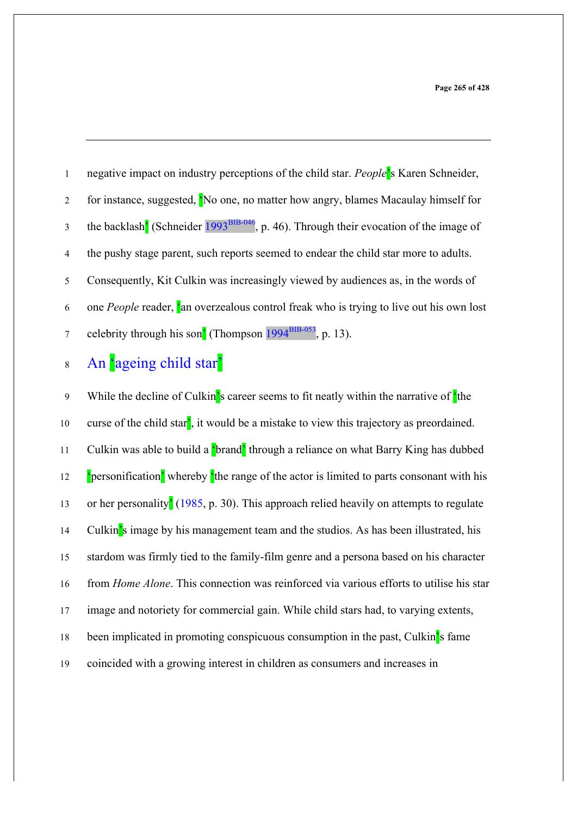negative impact on industry perceptions of the child star. *People*'s Karen Schneider, 2 for instance, suggested, 'No one, no matter how angry, blames Macaulay himself for the backlash<sup>'</sup> (Schneider  $1993<sup>BIB-046</sup>$ , p. 46). Through their evocation of the image of the pushy stage parent, such reports seemed to endear the child star more to adults. Consequently, Kit Culkin was increasingly viewed by audiences as, in the words of one *People* reader, 'an overzealous control freak who is trying to live out his own lost z celebrity through his son<sup>'</sup> (Thompson  $1994<sup>BIB-053</sup>$ , p. 13).

# An 'ageing child star'

9 While the decline of Culkin's career seems to fit neatly within the narrative of the curse of the child star', it would be a mistake to view this trajectory as preordained. 11 Culkin was able to build a 'brand' through a reliance on what Barry King has dubbed 12 'personification' whereby 'the range of the actor is limited to parts consonant with his or her personality' (1985, p. 30). This approach relied heavily on attempts to regulate Culkin's image by his management team and the studios. As has been illustrated, his stardom was firmly tied to the family-film genre and a persona based on his character from *Home Alone*. This connection was reinforced via various efforts to utilise his star image and notoriety for commercial gain. While child stars had, to varying extents, been implicated in promoting conspicuous consumption in the past, Culkin's fame coincided with a growing interest in children as consumers and increases in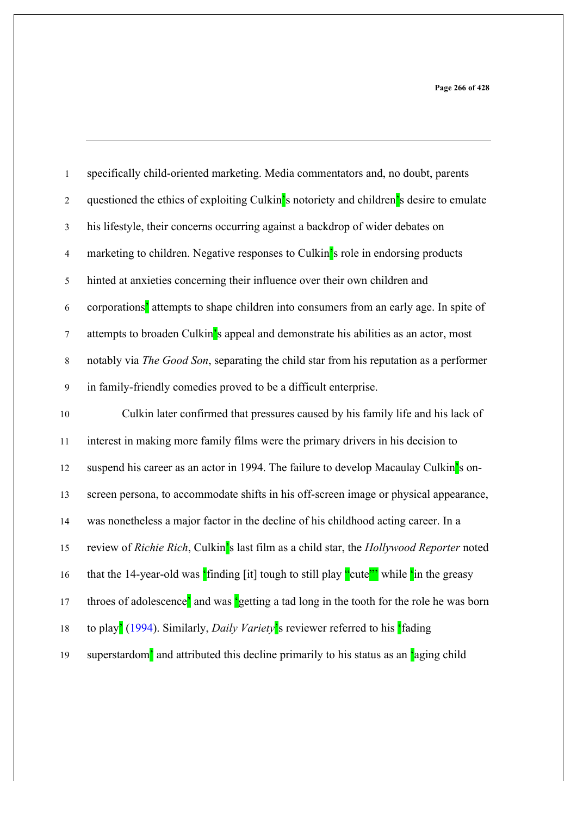| $\mathbf{1}$     | specifically child-oriented marketing. Media commentators and, no doubt, parents                                                            |
|------------------|---------------------------------------------------------------------------------------------------------------------------------------------|
| $\overline{2}$   | questioned the ethics of exploiting Culkin's notoriety and children's desire to emulate                                                     |
| $\mathfrak{Z}$   | his lifestyle, their concerns occurring against a backdrop of wider debates on                                                              |
| $\overline{4}$   | marketing to children. Negative responses to Culkin's role in endorsing products                                                            |
| 5                | hinted at anxieties concerning their influence over their own children and                                                                  |
| $\boldsymbol{6}$ | corporations <sup>2</sup> attempts to shape children into consumers from an early age. In spite of                                          |
| $\tau$           | attempts to broaden Culkin's appeal and demonstrate his abilities as an actor, most                                                         |
| $\,8\,$          | notably via The Good Son, separating the child star from his reputation as a performer                                                      |
| $\mathbf{9}$     | in family-friendly comedies proved to be a difficult enterprise.                                                                            |
| $10\,$           | Culkin later confirmed that pressures caused by his family life and his lack of                                                             |
| $11\,$           | interest in making more family films were the primary drivers in his decision to                                                            |
| 12               | suspend his career as an actor in 1994. The failure to develop Macaulay Culkin's on-                                                        |
| 13               | screen persona, to accommodate shifts in his off-screen image or physical appearance,                                                       |
| 14               | was nonetheless a major factor in the decline of his childhood acting career. In a                                                          |
| 15               | review of Richie Rich, Culkin's last film as a child star, the Hollywood Reporter noted                                                     |
| 16               | that the 14-year-old was $\frac{1}{2}$ finding [it] tough to still play $\frac{1}{2}$ while $\frac{1}{2}$ while $\frac{1}{2}$ in the greasy |
| 17               | throes of adolescence' and was 'getting a tad long in the tooth for the role he was born                                                    |
| $18\,$           | to play <sup>2</sup> (1994). Similarly, <i>Daily Variety</i> <sup>2</sup> s reviewer referred to his <sup>2</sup> fading                    |
| 19               | superstardom <sup>2</sup> and attributed this decline primarily to his status as an <b>'aging child</b>                                     |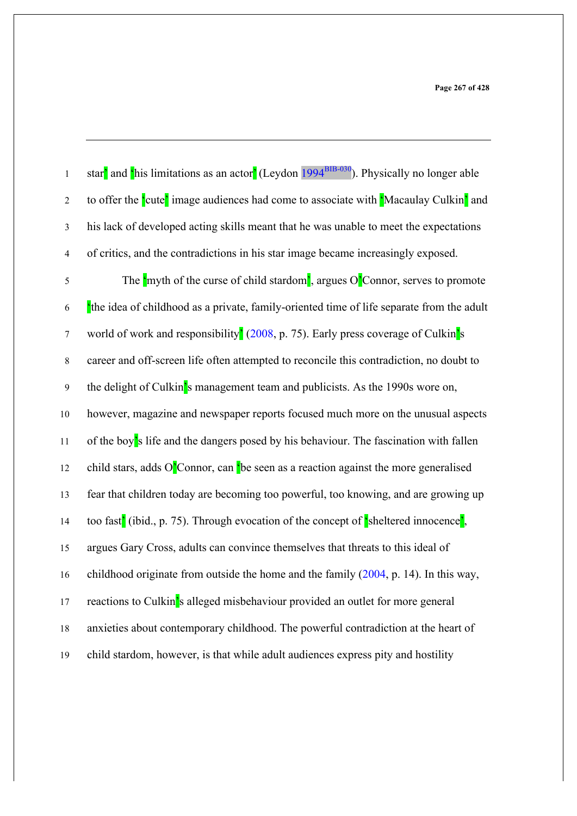star' and  $\frac{\epsilon}{\text{his}}$  limitations as an actor' (Leydon 1994<sup>BIB-030</sup>). Physically no longer able 2 to offer the 'cute' image audiences had come to associate with 'Macaulay Culkin' and 3 his lack of developed acting skills meant that he was unable to meet the expectations 4 of critics, and the contradictions in his star image became increasingly exposed.

5 The  $\frac{1}{2}$  The  $\frac{1}{2}$  The  $\frac{1}{2}$  The curse of child stardom<sup>'</sup>, argues O<sup>'</sup>Connor, serves to promote 'the idea of childhood as a private, family-oriented time of life separate from the adult 7 world of work and responsibility<sup>2</sup> (2008, p. 75). Early press coverage of Culkin<sup>'</sup>s career and off-screen life often attempted to reconcile this contradiction, no doubt to the delight of Culkin's management team and publicists. As the 1990s wore on, however, magazine and newspaper reports focused much more on the unusual aspects 11 of the boy's life and the dangers posed by his behaviour. The fascination with fallen 12 child stars, adds  $O<sup>3</sup>$  Connor, can <sup>t</sup> be seen as a reaction against the more generalised fear that children today are becoming too powerful, too knowing, and are growing up too fast' (ibid., p. 75). Through evocation of the concept of 'sheltered innocence', argues Gary Cross, adults can convince themselves that threats to this ideal of childhood originate from outside the home and the family (2004, p. 14). In this way, 17 reactions to Culkin's alleged misbehaviour provided an outlet for more general anxieties about contemporary childhood. The powerful contradiction at the heart of child stardom, however, is that while adult audiences express pity and hostility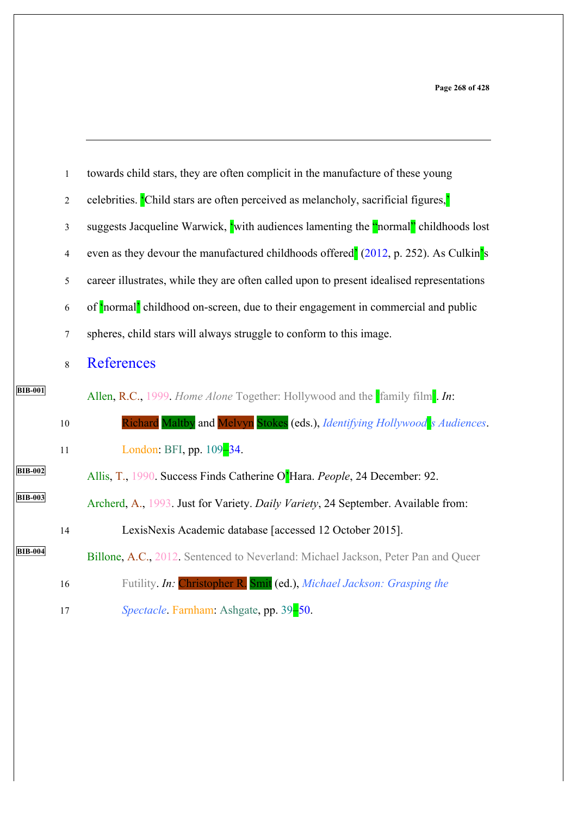|                | $\mathbf{1}$            | towards child stars, they are often complicit in the manufacture of these young                  |
|----------------|-------------------------|--------------------------------------------------------------------------------------------------|
|                | $\overline{2}$          | celebrities. Child stars are often perceived as melancholy, sacrificial figures,'                |
|                | 3                       | suggests Jacqueline Warwick, 'with audiences lamenting the "normal" childhoods lost              |
|                | $\overline{\mathbf{4}}$ | even as they devour the manufactured childhoods offered <sup>'</sup> (2012, p. 252). As Culkin's |
|                | 5                       | career illustrates, while they are often called upon to present idealised representations        |
|                | 6                       | of 'normal' childhood on-screen, due to their engagement in commercial and public                |
|                | $\tau$                  | spheres, child stars will always struggle to conform to this image.                              |
|                | 8                       | References                                                                                       |
| <b>BIB-001</b> |                         | Allen, R.C., 1999. Home Alone Together: Hollywood and the family film. In:                       |
|                | $10\,$                  | Richard Maltby and Melvyn Stokes (eds.), Identifying Hollywood's Audiences.                      |
|                | $11\,$                  | London: BFI, pp. 109-34.                                                                         |
| <b>BIB-002</b> |                         | Allis, T., 1990. Success Finds Catherine O'Hara. People, 24 December: 92.                        |
| <b>BIB-003</b> |                         | Archerd, A., 1993. Just for Variety. Daily Variety, 24 September. Available from:                |
|                | 14                      | LexisNexis Academic database [accessed 12 October 2015].                                         |
| <b>BIB-004</b> |                         | Billone, A.C., 2012. Sentenced to Neverland: Michael Jackson, Peter Pan and Queer                |
|                | 16                      | Futility. In: Christopher R. Smit (ed.), Michael Jackson: Grasping the                           |
|                | 17                      | Spectacle. Farnham: Ashgate, pp. 39-50.                                                          |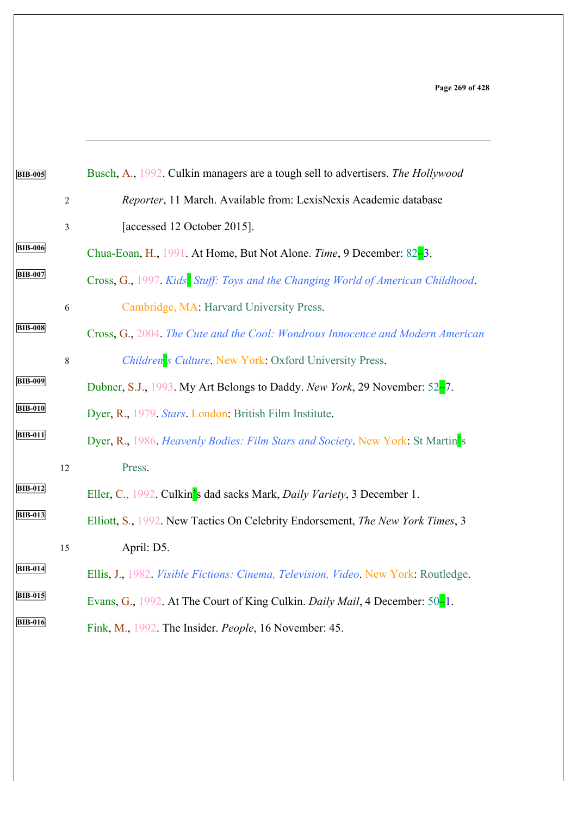| <b>BIB-005</b> |                | Busch, A., 1992. Culkin managers are a tough sell to advertisers. The Hollywood    |
|----------------|----------------|------------------------------------------------------------------------------------|
|                | $\sqrt{2}$     | Reporter, 11 March. Available from: LexisNexis Academic database                   |
|                | $\mathfrak{Z}$ | [accessed 12 October 2015].                                                        |
| <b>BIB-006</b> |                | Chua-Eoan, H., 1991. At Home, But Not Alone. Time, 9 December: 82-3.               |
| <b>BIB-007</b> |                | Cross, G., 1997. Kids Stuff: Toys and the Changing World of American Childhood.    |
|                | 6              | Cambridge, MA: Harvard University Press.                                           |
| <b>BIB-008</b> |                | Cross, G., 2004. The Cute and the Cool: Wondrous Innocence and Modern American     |
|                | $\,8\,$        | Children's Culture. New York. Oxford University Press.                             |
| <b>BIB-009</b> |                | Dubner, S.J., 1993. My Art Belongs to Daddy. New York, 29 November: 52-7.          |
| <b>BIB-010</b> |                | Dyer, R., 1979. Stars. London: British Film Institute.                             |
| <b>BIB-011</b> |                | Dyer, R., 1986. Heavenly Bodies: Film Stars and Society. New York: St Martin's     |
|                | 12             | Press.                                                                             |
| <b>BIB-012</b> |                | Eller, C., 1992. Culkin's dad sacks Mark, Daily Variety, 3 December 1.             |
| <b>BIB-013</b> |                | Elliott, S., 1992. New Tactics On Celebrity Endorsement, The New York Times, 3     |
|                | 15             | April: D5.                                                                         |
| <b>BIB-014</b> |                | Ellis, J., 1982. Visible Fictions: Cinema, Television, Video. New York. Routledge. |
| <b>BIB-015</b> |                | Evans, G., 1992. At The Court of King Culkin. Daily Mail, 4 December: 50-1.        |
| <b>BIB-016</b> |                | Fink, M., 1992. The Insider. People, 16 November: 45.                              |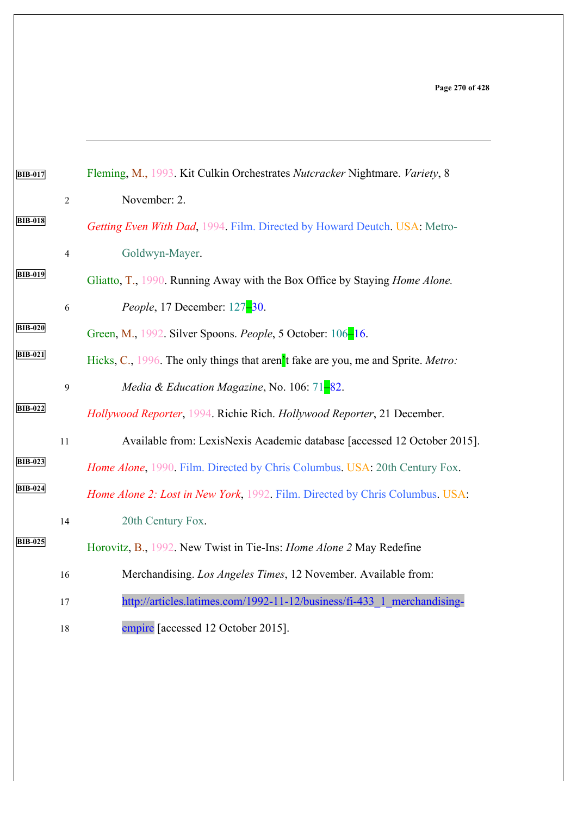| <b>BIB-017</b> |                | Fleming, M., 1993. Kit Culkin Orchestrates Nutcracker Nightmare. Variety, 8        |
|----------------|----------------|------------------------------------------------------------------------------------|
|                | $\overline{2}$ | November: 2.                                                                       |
| <b>BIB-018</b> |                | Getting Even With Dad, 1994. Film. Directed by Howard Deutch. USA: Metro-          |
|                | $\overline{4}$ | Goldwyn-Mayer.                                                                     |
| <b>BIB-019</b> |                | Gliatto, T., 1990. Running Away with the Box Office by Staying <i>Home Alone</i> . |
|                | 6              | <i>People</i> , 17 December: 127-30.                                               |
| <b>BIB-020</b> |                | Green, M., 1992. Silver Spoons. People, 5 October: 106-16.                         |
| <b>BIB-021</b> |                | Hicks, C., 1996. The only things that aren't fake are you, me and Sprite. Metro:   |
|                | 9              | Media & Education Magazine, No. 106: $71-82$ .                                     |
| <b>BIB-022</b> |                | Hollywood Reporter, 1994. Richie Rich. Hollywood Reporter, 21 December.            |
|                | 11             | Available from: LexisNexis Academic database [accessed 12 October 2015].           |
| <b>BIB-023</b> |                | Home Alone, 1990. Film. Directed by Chris Columbus. USA: 20th Century Fox.         |
| <b>BIB-024</b> |                | Home Alone 2: Lost in New York, 1992. Film. Directed by Chris Columbus. USA:       |
|                | 14             | 20th Century Fox.                                                                  |
| <b>BIB-025</b> |                | Horovitz, B., 1992. New Twist in Tie-Ins: <i>Home Alone 2</i> May Redefine         |
|                | 16             | Merchandising. Los Angeles Times, 12 November. Available from:                     |
|                | 17             | http://articles.latimes.com/1992-11-12/business/fi-433 1 merchandising-            |
|                | 18             | empire [accessed 12 October 2015].                                                 |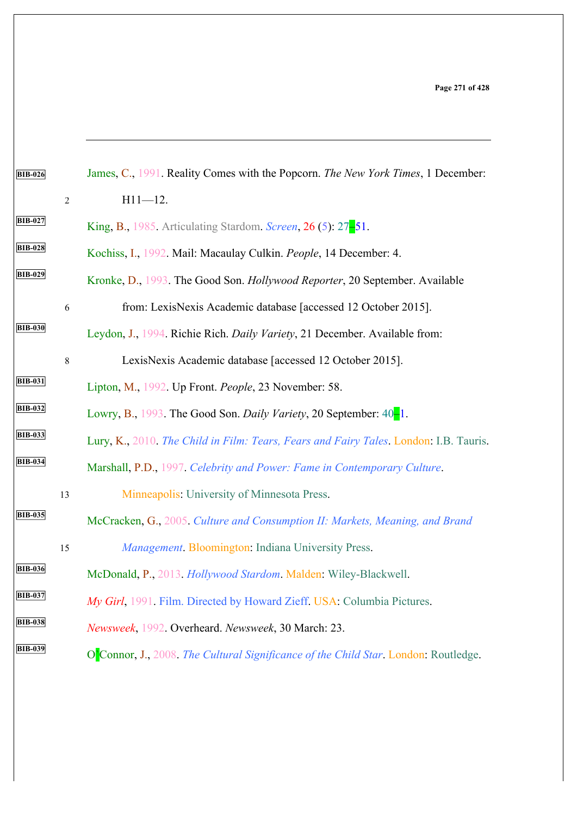| <b>BIB-026</b> |                | James, C., 1991. Reality Comes with the Popcorn. The New York Times, 1 December:      |
|----------------|----------------|---------------------------------------------------------------------------------------|
|                | $\overline{2}$ | $H11 - 12.$                                                                           |
| <b>BIB-027</b> |                | King, B., 1985. Articulating Stardom. Screen, 26 (5): 27-51.                          |
| <b>BIB-028</b> |                | Kochiss, I., 1992. Mail: Macaulay Culkin. People, 14 December: 4.                     |
| <b>BIB-029</b> |                | Kronke, D., 1993. The Good Son. Hollywood Reporter, 20 September. Available           |
|                | 6              | from: LexisNexis Academic database [accessed 12 October 2015].                        |
| <b>BIB-030</b> |                | Leydon, J., 1994. Richie Rich. Daily Variety, 21 December. Available from:            |
|                | $8\,$          | LexisNexis Academic database [accessed 12 October 2015].                              |
| <b>BIB-031</b> |                | Lipton, M., 1992. Up Front. People, 23 November: 58.                                  |
| <b>BIB-032</b> |                | Lowry, B., 1993. The Good Son. Daily Variety, 20 September: 40-1.                     |
| <b>BIB-033</b> |                | Lury, K., 2010. The Child in Film: Tears, Fears and Fairy Tales. London: I.B. Tauris. |
| <b>BIB-034</b> |                | Marshall, P.D., 1997. Celebrity and Power: Fame in Contemporary Culture.              |
|                | 13             | Minneapolis: University of Minnesota Press.                                           |
| <b>BIB-035</b> |                | McCracken, G., 2005. Culture and Consumption II: Markets, Meaning, and Brand          |
|                | 15             | Management. Bloomington. Indiana University Press.                                    |
| <b>BIB-036</b> |                | McDonald, P., 2013. Hollywood Stardom. Malden: Wiley-Blackwell.                       |
| <b>BIB-037</b> |                | My Girl, 1991. Film. Directed by Howard Zieff. USA: Columbia Pictures.                |
| <b>BIB-038</b> |                | Newsweek, 1992. Overheard. Newsweek, 30 March: 23.                                    |
| <b>BIB-039</b> |                | O'Connor, J., 2008. The Cultural Significance of the Child Star. London. Routledge.   |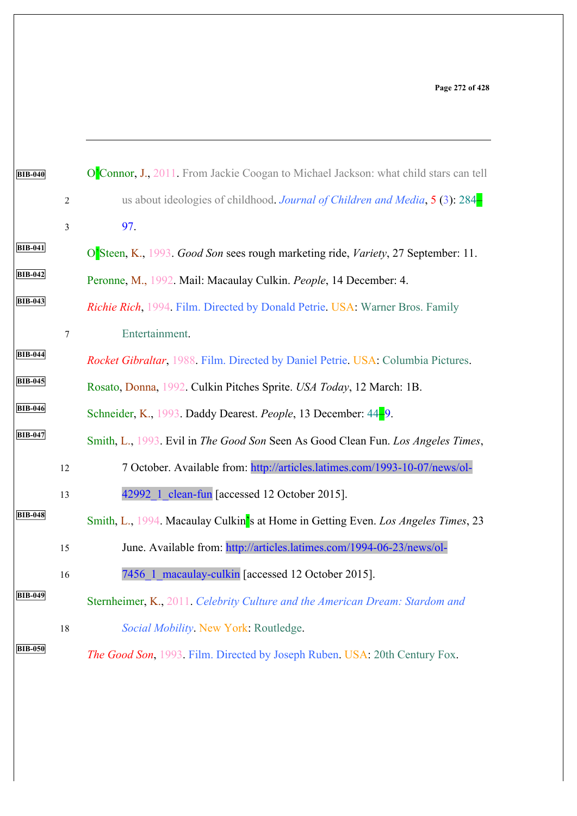| <b>BIB-040</b> |                | O'Connor, J., 2011. From Jackie Coogan to Michael Jackson: what child stars can tell |
|----------------|----------------|--------------------------------------------------------------------------------------|
|                | $\overline{2}$ | us about ideologies of childhood. Journal of Children and Media, $5(3)$ : 284        |
|                | $\overline{3}$ | 97.                                                                                  |
| <b>BIB-041</b> |                | O'Steen, K., 1993. Good Son sees rough marketing ride, Variety, 27 September: 11.    |
| <b>BIB-042</b> |                | Peronne, M., 1992. Mail: Macaulay Culkin. People, 14 December: 4.                    |
| <b>BIB-043</b> |                | Richie Rich, 1994 Film. Directed by Donald Petrie. USA: Warner Bros. Family          |
|                | $\tau$         | Entertainment.                                                                       |
| <b>BIB-044</b> |                | Rocket Gibraltar, 1988. Film. Directed by Daniel Petrie. USA. Columbia Pictures.     |
| <b>BIB-045</b> |                | Rosato, Donna, 1992. Culkin Pitches Sprite. USA Today, 12 March: 1B.                 |
| <b>BIB-046</b> |                | Schneider, K., 1993. Daddy Dearest. People, 13 December: 44-9.                       |
| <b>BIB-047</b> |                | Smith, L., 1993. Evil in The Good Son Seen As Good Clean Fun. Los Angeles Times,     |
|                | 12             | 7 October. Available from: http://articles.latimes.com/1993-10-07/news/ol-           |
|                | 13             | 42992 1 clean-fun [accessed 12 October 2015].                                        |
| <b>BIB-048</b> |                | Smith, L., 1994. Macaulay Culkin's at Home in Getting Even. Los Angeles Times, 23    |
|                | 15             | June. Available from: http://articles.latimes.com/1994-06-23/news/ol-                |
|                | 16             | 7456 1 macaulay-culkin [accessed 12 October 2015].                                   |
| <b>BIB-049</b> |                | Sternheimer, K., 2011. Celebrity Culture and the American Dream: Stardom and         |
|                | $18\,$         | Social Mobility. New York: Routledge.                                                |
| <b>BIB-050</b> |                | The Good Son, 1993. Film. Directed by Joseph Ruben. USA: 20th Century Fox.           |